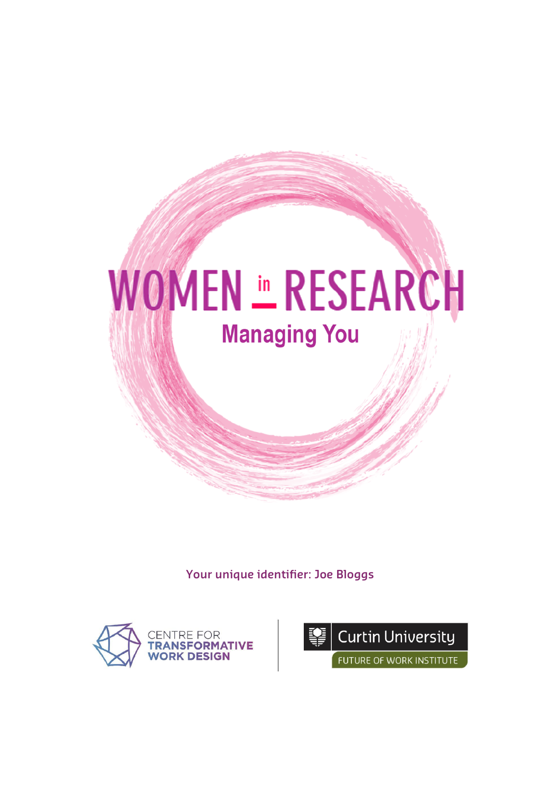

**Your unique identifier: Joe Bloggs**



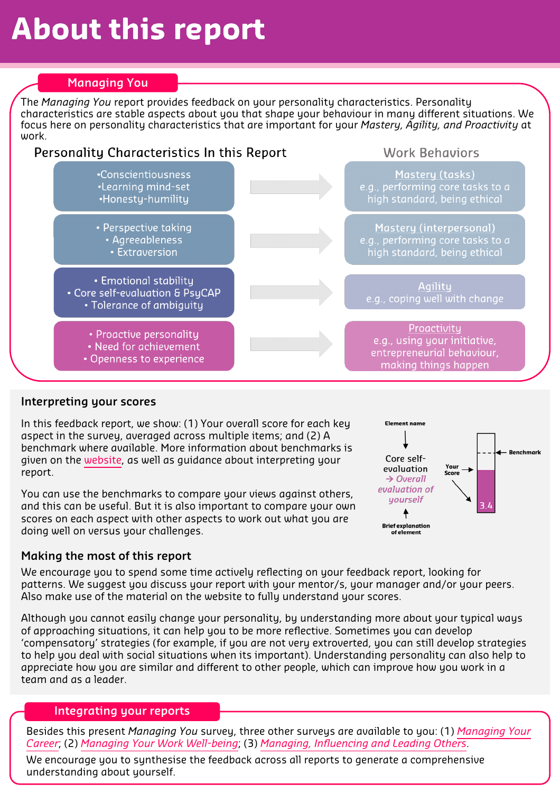## **About this report**

## **Managing You**

The *Managing You* report provides feedback on your personality characteristics. Personality characteristics are stable aspects about you that shape your behaviour in many different situations. We focus here on personality characteristics that are important for your *Mastery, Agility, and Proactivity* at work.



## **Interpreting your scores**

In this feedback report, we show: (1) Your overall score for each key aspect in the survey, averaged across multiple items; and (2) A benchmark where available. More information about benchmarks is given on the [website](https://www.womeninresearch.org.au/surveys), as well as guidance about interpreting your report.

You can use the benchmarks to compare your views against others, and this can be useful. But it is also important to compare your own scores on each aspect with other aspects to work out what you are doing well on versus your challenges.



#### **Making the most of this report**

We encourage you to spend some time actively reflecting on your feedback report, looking for patterns. We suggest you discuss your report with your mentor/s, your manager and/or your peers. Also make use of the material on the website to fully understand your scores.

Although you cannot easily change your personality, by understanding more about your typical ways of approaching situations, it can help you to be more reflective. Sometimes you can develop 'compensatory' strategies (for example, if you are not very extroverted, you can still develop strategies to help you deal with social situations when its important). Understanding personality can also help to appreciate how you are similar and different to other people, which can improve how you work in a team and as a leader.

#### **Integrating your reports**

Besides this present *Managing You* survey, three other surveys are available to you: (1) *[Managing Your](https://www.womeninresearch.org.au/surveys) [Career](https://www.womeninresearch.org.au/surveys)*; (2) *[Managing Your Work Well-being](https://www.womeninresearch.org.au/surveys)*; (3) *[Managing, Influencing and Leading Others](https://www.womeninresearch.org.au/surveys)*.

We encourage you to synthesise the feedback across all reports to generate a comprehensive understanding about yourself.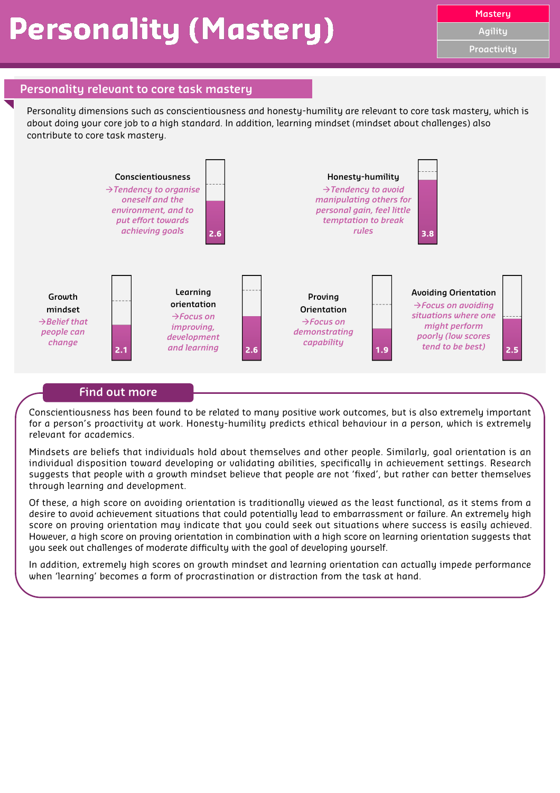**Agility**

**Proactivity**

#### **Personality relevant to core task mastery**

Personality dimensions such as conscientiousness and honesty-humility are relevant to core task mastery, which is about doing your core job to a high standard. In addition, learning mindset (mindset about challenges) also contribute to core task mastery.



#### **Find out more**

Conscientiousness has been found to be related to many positive work outcomes, but is also extremely important for a person's proactivity at work. Honesty-humility predicts ethical behaviour in a person, which is extremely relevant for academics.

Mindsets are beliefs that individuals hold about themselves and other people. Similarly, goal orientation is an individual disposition toward developing or validating abilities, specifically in achievement settings. Research suggests that people with a growth mindset believe that people are not 'fixed', but rather can better themselves through learning and development.

Of these, a high score on avoiding orientation is traditionally viewed as the least functional, as it stems from a desire to avoid achievement situations that could potentially lead to embarrassment or failure. An extremely high score on proving orientation may indicate that you could seek out situations where success is easily achieved. However, a high score on proving orientation in combination with a high score on learning orientation suggests that you seek out challenges of moderate difficulty with the goal of developing yourself.

In addition, extremely high scores on growth mindset and learning orientation can actually impede performance when 'learning' becomes a form of procrastination or distraction from the task at hand.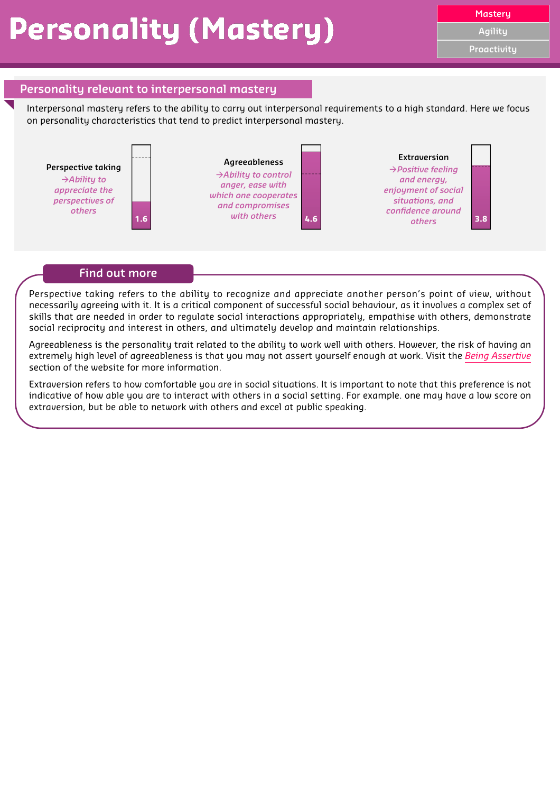# **Personality (Mastery)**

**Agility**

**Proactivity**

## **Personality relevant to interpersonal mastery**

Interpersonal mastery refers to the ability to carry out interpersonal requirements to a high standard. Here we focus on personality characteristics that tend to predict interpersonal mastery.



#### **Find out more**

Perspective taking refers to the ability to recognize and appreciate another person's point of view, without necessarily agreeing with it. It is a critical component of successful social behaviour, as it involves a complex set of skills that are needed in order to regulate social interactions appropriately, empathise with others, demonstrate social reciprocity and interest in others, and ultimately develop and maintain relationships.

Agreeableness is the personality trait related to the ability to work well with others. However, the risk of having an extremely high level of agreeableness is that you may not assert yourself enough at work. Visit the *[Being Assertive](https://www.womeninresearch.org.au/being-assertive)* section of the website for more information.

Extraversion refers to how comfortable you are in social situations. It is important to note that this preference is not indicative of how able you are to interact with others in a social setting. For example. one may have a low score on extraversion, but be able to network with others and excel at public speaking.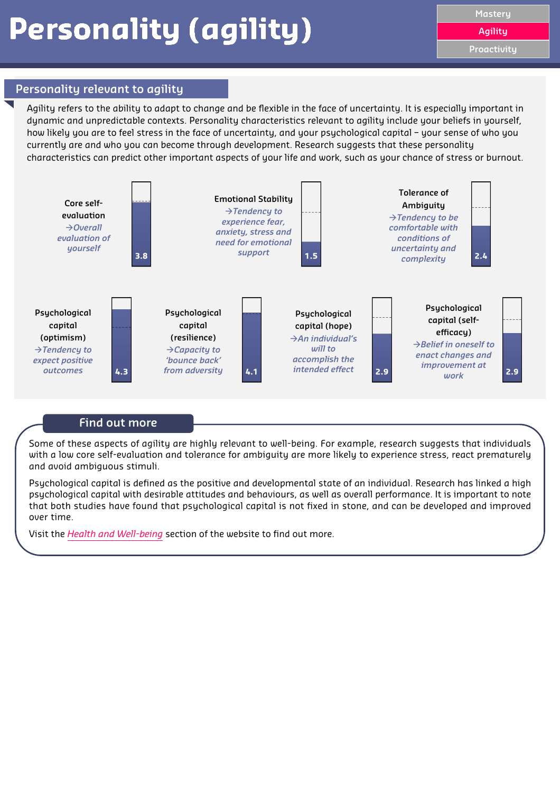### **Personality relevant to agility**

Agility refers to the ability to adapt to change and be flexible in the face of uncertainty. It is especially important in dynamic and unpredictable contexts. Personality characteristics relevant to agility include your beliefs in yourself, how likely you are to feel stress in the face of uncertainty, and your psychological capital – your sense of who you currently are and who you can become through development. Research suggests that these personality characteristics can predict other important aspects of your life and work, such as your chance of stress or burnout.



## **Find out more**

Some of these aspects of agility are highly relevant to well-being. For example, research suggests that individuals with a low core self-evaluation and tolerance for ambiguity are more likely to experience stress, react prematurely and avoid ambiguous stimuli.

Psychological capital is defined as the positive and developmental state of an individual. Research has linked a high psychological capital with desirable attitudes and behaviours, as well as overall performance. It is important to note that both studies have found that psychological capital is not fixed in stone, and can be developed and improved over time.

Visit the *[Health and Well-being](https://www.womeninresearch.org.au/health-wellbeing)* section of the website to find out more.